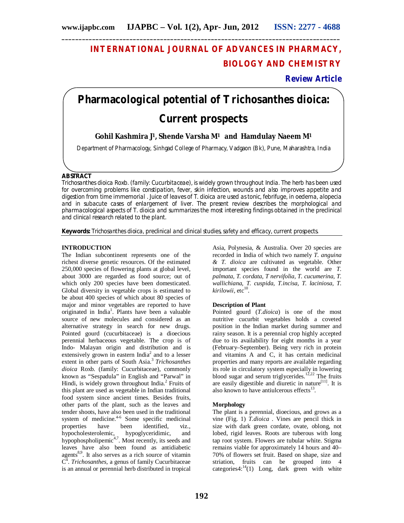## **INTERNATIONAL JOURNAL OF ADVANCES IN PHARMACY, BIOLOGY AND CHEMISTRY**

## **Review Article**

# **Pharmacological potential of** *Trichosanthes dioica:*  **Current prospects**

## **Gohil Kashmira J1, Shende Varsha M<sup>1</sup> and Hamdulay Naeem M<sup>1</sup>**

Department of Pharmacology, Sinhgad College of Pharmacy, Vadgaon (Bk), Pune, Maharashtra, India

## **ABSTRACT**

Trichosanthes dioica Roxb. (family: Cucurbitaceae), is widely grown throughout India. The herb has been used for overcoming problems like constipation, fever, skin infection, wounds and also improves appetite and digestion from time immemorial . Juice of leaves of T. dioica are used as tonic, febrifuge, in oedema, alopecia and in subacute cases of enlargement of liver. The present review describes the morphological and pharmacological aspects of T. dioica and summarizes the most interesting findings obtained in the preclinical and clinical research related to the plant.

**Keywords:** *Trichosanthes dioica*, preclinical and clinical studies, safety and efficacy, current prospects.

#### **INTRODUCTION**

The Indian subcontinent represents one of the richest diverse genetic resources. Of the estimated 250,000 species of flowering plants at global level, about 3000 are regarded as food source; out of which only 200 species have been domesticated. Global diversity in vegetable crops is estimated to be about 400 species of which about 80 species of major and minor vegetables are reported to have originated in India<sup>1</sup>. Plants have been a valuable source of new molecules and considered as an alternative strategy in search for new drugs. Pointed gourd (cucurbitaceae) is a dioecious perennial herbaceous vegetable. The crop is of Indo- Malayan origin and distribution and is extensively grown in eastern India<sup>2</sup> and to a lesser extent in other parts of South Asia.<sup>3</sup> Trichosanthes *dioica* Roxb. (family: Cucurbitaceae), commonly known as "Sespadula" in English and "Parwal" in Hindi, is widely grown throughout India.<sup>2</sup> Fruits of this plant are used as vegetable in Indian traditional food system since ancient times. Besides fruits, other parts of the plant, such as the leaves and tender shoots, have also been used in the traditional system of medicine.<sup>4-6</sup> Some specific medicinal properties have been identified, viz.,<br>hypocholesterolemic, hypoglyceridimic, and hypocholesterolemic, hypoglyceridimic, and hypophospholipemic<sup>4,7</sup>. Most recently, its seeds and leaves have also been found as antidiabetic agents<sup>8,9</sup>. It also serves as a rich source of vitamin C 4 . *Trichosanthes,* a genus of family Cucurbitaceae is an annual or perennial herb distributed in tropical

Asia, Polynesia, & Australia. Over 20 species are recorded in India of which two namely *T. anguina & T. dioica* are cultivated as vegetable. Other important species found in the world are *T. palmata, T. cordata, T nervifolia, T. cucumerina, T. wallichiana, T. cuspida, T.incisa, T. laciniosa, T.*  kirilowii, etc<sup>10</sup>.

#### **Description of Plant**

Pointed gourd (*T.dioica*) is one of the most nutritive cucurbit vegetables holds a coveted position in the Indian market during summer and rainy season. It is a perennial crop highly accepted due to its availability for eight months in a year (February–September). Being very rich in protein and vitamins A and C, it has certain medicinal properties and many reports are available regarding its role in circulatory system especially in lowering blood sugar and serum triglycerides.<sup>12,22</sup> The fruits are easily digestible and diuretic in nature<sup>[11]</sup>. It is also known to have antiulcerous effects<sup>13</sup>.

#### **Morphology**

The plant is a perennial, dioecious, and grows as a vine (Fig. 1) *T.dioica* . Vines are pencil thick in size with dark green cordate, ovate, oblong, not lobed, rigid leaves. Roots are tuberous with long tap root system. Flowers are tubular white. Stigma remains viable for approximately 14 hours and 40– 70% of flowers set fruit. Based on shape, size and striation, fruits can be grouped into 4 categories $4:^{14}(1)$  Long, dark green with white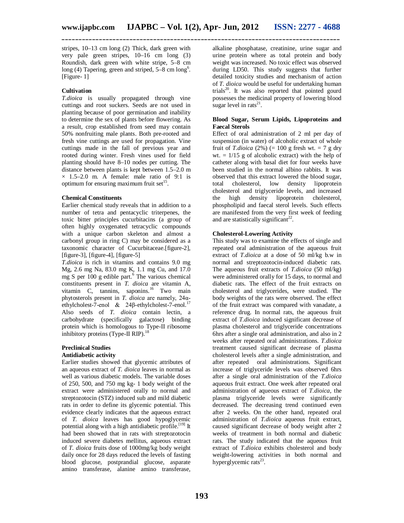stripes, 10–13 cm long (2) Thick, dark green with very pale green stripes, 10–16 cm long (3) Roundish, dark green with white stripe, 5–8 cm long (4) Tapering, green and striped, 5–8 cm long<sup>6</sup>. [Figure-1]

### **Cultivation**

*T.dioica* is usually propagated through vine cuttings and root suckers. Seeds are not used in planting because of poor germination and inability to determine the sex of plants before flowering. As a result, crop established from seed may contain 50% nonfruiting male plants. Both pre-rooted and fresh vine cuttings are used for propagation. Vine cuttings made in the fall of previous year and rooted during winter. Fresh vines used for field planting should have 8–10 nodes per cutting. The distance between plants is kept between 1.5–2.0 m  $\times$  1.5–2.0 m. A female: male ratio of 9:1 is optimum for ensuring maximum fruit set<sup>15</sup>.

#### **Chemical Constituents**

Earlier chemical study reveals that in addition to a number of tetra and pentacyclic triterpenes, the toxic bitter principles cucurbitacins (a group of often highly oxygenated tetracyclic compounds with a unique carbon skeleton and almost a carbonyl group in ring C) may be considered as a taxonomic character of Cucurbitaceae.[figure-2], [figure-3], [figure-4], [figure-5]

*T.dioica* is rich in vitamins and contains 9.0 mg Mg, 2.6 mg Na, 83.0 mg K, 1.1 mg Cu, and 17.0 mg S per  $100$  g edible part.<sup>6</sup> The various chemical constituents present in *T. dioica* are vitamin A, vitamin  $C$ , tannins, saponins.<sup>16</sup> Two main phytosterols present in *T. dioica* are namely, 24αethylcholest-7-enol & 24β-ethylcholest-7-enol.<sup>17</sup> Also seeds of *T. dioica* contain lectin, a carbohydrate (specifically galactose) binding protein which is homologous to Type-II ribosome inhibitory proteins (Type-II RIP). $11$ 

#### **Preclinical Studies Antidiabetic activity**

Earlier studies showed that glycemic attributes of an aqueous extract of *T. dioica* leaves in normal as well as various diabetic models. The variable doses of 250, 500, and 750 mg kg- 1 body weight of the extract were administered orally to normal and streptozotocin (STZ) induced sub and mild diabetic rats in order to define its glycemic potential. This evidence clearly indicates that the aqueous extract of *T. dioica* leaves has good hypoglycemic potential along with a high antidiabetic profile.<sup>[19]</sup> It had been showed that in rats with streptozotocin induced severe diabetes mellitus, aqueous extract of *T. dioica* fruits dose of 1000mg/kg body weight daily once for 28 days reduced the levels of fasting blood glucose, postprandial glucose, asparate amino transferase, alanine amino transferase, alkaline phosphatase, creatinine, urine sugar and urine protein where as total protein and body weight was increased. No toxic effect was observed during LD50. This study suggests that further detailed toxicity studies and mechanism of action of *T. dioica* would be useful for undertaking human trials<sup>20</sup>. It was also reported that pointed gourd possesses the medicinal property of lowering blood sugar level in rats $^{21}$ .

#### **Blood Sugar, Serum Lipids, Lipoproteins and Faecal Sterols**

Effect of oral administration of 2 ml per day of suspension (in water) of alcoholic extract of whole fruit of *T.dioica* (2%) (= 100 g fresh wt. = 7 g dry wt.  $= 1/15$  g of alcoholic extract) with the help of catheter along with basal diet for four weeks have been studied in the normal albino rabbits. It was observed that this extract lowered the blood sugar, total cholesterol, low density lipoprotein cholesterol and triglyceride levels, and increased the high density lipoprotein cholesterol, phospholipid and faecal sterol levels. Such effects are manifested from the very first week of feeding and are statistically significant<sup>22</sup>.

## **Cholesterol-Lowering Activity**

This study was to examine the effects of single and repeated oral administration of the aqueous fruit extract of *T.dioica* at a dose of 50 ml/kg b.w in normal and streptozotocin-induced diabetic rats. The aqueous fruit extracts of *T.dioica* (50 ml/kg) were administered orally for 15 days, to normal and diabetic rats. The effect of the fruit extracts on cholesterol and triglycerides, were studied. The body weights of the rats were observed. The effect of the fruit extract was compared with vanadate, a reference drug. In normal rats, the aqueous fruit extract of *T.dioica* induced significant decrease of plasma cholesterol and triglyceride concentrations 6hrs after a single oral administration, and also in 2 weeks after repeated oral administrations. *T.dioica* treatment caused significant decrease of plasma cholesterol levels after a single administration, and after repeated oral administrations. Significant increase of triglyceride levels was observed 6hrs after a single oral administration of the *T.dioica* aqueous fruit extract. One week after repeated oral administration of aqueous extract of *T.dioica*, the plasma triglyceride levels were significantly decreased. The decreasing trend continued even after 2 weeks. On the other hand, repeated oral administration of *T.dioica* aqueous fruit extract, caused significant decrease of body weight after 2 weeks of treatment in both normal and diabetic rats. The study indicated that the aqueous fruit extract of *T.dioica* exhibits cholesterol and body weight-lowering activities in both normal and hyperglycemic rats<sup>23</sup>.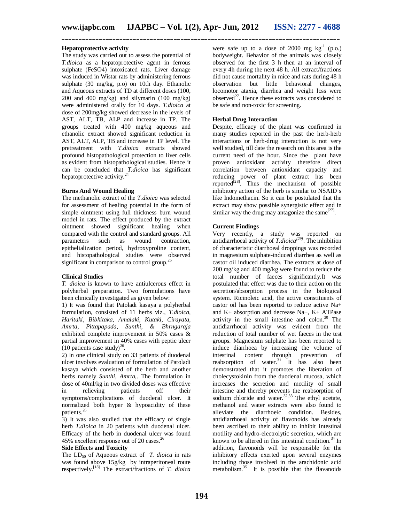#### **Hepatoprotective activity**

The study was carried out to assess the potential of *T.dioica* as a hepatoprotective agent in ferrous sulphate (FeSO4) intoxicated rats. Liver damage was induced in Wistar rats by administering ferrous sulphate (30 mg/kg, p.o) on 10th day. Ethanolic and Aqueous extracts of TD at different doses (100, 200 and 400 mg/kg) and silymarin (100 mg/kg) were administered orally for 10 days. *T.dioica* at dose of 200mg/kg showed decrease in the levels of AST, ALT, TB, ALP and increase in TP. The groups treated with 400 mg/kg aqueous and ethanolic extract showed significant reduction in AST, ALT, ALP, TB and increase in TP level. The pretreatment with *T.dioica* extracts showed profound histopathological protection to liver cells as evident from histopathological studies. Hence it can be concluded that *T.dioica* has significant hepatoprotective activity. $^{2}$ 

#### **Burns And Wound Healing**

The methanolic extract of the *T.dioica* was selected for assessment of healing potential in the form of simple ointment using full thickness burn wound model in rats. The effect produced by the extract ointment showed significant healing when compared with the control and standard groups. All<br>parameters such as wound contraction, parameters such as wound epithelialization period, hydroxyproline content, and histopathological studies were observed significant in comparison to control group.<sup>25</sup>

#### **Clinical Studies**

*T. dioica* is known to have antiulcerous effect in polyherbal preparation. Two formulations have been clinically investigated as given below:

1) It was found that Patoladi kasaya a polyherbal formulation, consisted of 11 herbs viz., *T.dioica, Haritaki, Bibhitaka, Amalaki, Kutaki, Cirayata, Amrta, Pittapapada, Sunthi, & Bhrngaraja*  exhibited complete improvement in 50% cases & partial improvement in 40% cases with peptic ulcer  $(10 \text{ patients case study})^{26}$ .

2) In one clinical study on 33 patients of duodenal ulcer involves evaluation of formulation of Patoladi kasaya which consisted of the herb and another herbs namely *Sunthi, Amrta,*. The formulation in dose of 40ml/kg in two divided doses was effective in relieving patients off their symptoms/complications of duodenal ulcer. It normalized both hyper & hypoacidity of these patients.<sup>26</sup>

3) It was also studied that the efficacy of single herb *T.dioica* in 20 patients with duodenal ulcer. Efficacy of the herb in duodenal ulcer was found 45% excellent response out of 20 cases.<sup>26</sup>

#### **Side Effects and Toxicity**

The  $LD_{50}$  of Aqueous extract of *T. dioica* in rats was found above 15g/kg by intraperitoneal route respectively.[18] The extract/fractions of *T. dioica* 

were safe up to a dose of 2000 mg  $kg^{-1}$  (p.o.) bodyweight. Behavior of the animals was closely observed for the first 3 h then at an interval of every 4h during the next 48 h. All extract/fractions did not cause mortality in mice and rats during 48 h observation but little behavioral changes, locomotor ataxia, diarrhea and weight loss were observed<sup>27</sup>. Hence these extracts was considered to be safe and non-toxic for screening.

#### **Herbal Drug Interaction**

Despite, efficacy of the plant was confirmed in many studies reported in the past the herb-herb interactions or herb-drug interaction is not very well studied, till date the research on this area is the current need of the hour. Since the plant have proven antioxidant activity therefore direct correlation between antioxidant capacity and reducing power of plant extract has been reported<sup>[28]</sup>. Thus the mechanism of possible inhibitory action of the herb is similar to NSAID's like Indomethacin. So it can be postulated that the extract may show possible synergistic effect and in similar way the drug may antagonize the same $^{[27]}$ .

#### **Current Findings**

Very recently, a study was reported on antidiarrhoeal activity of *T.dioica[29]*. The inhibition of characteristic diarrhoeal droppings was recorded in magnesium sulphate-induced diarrhea as well as castor oil induced diarrhea. The extracts at dose of 200 mg/kg and 400 mg/kg were found to reduce the total number of faeces significantly.It was postulated that effect was due to their action on the secretion/absorption process in the biological system. Ricinoleic acid, the active constituents of castor oil has been reported to reduce active Na+ and K+ absorption and decrease Na+, K+ ATPase activity in the small intestine and colon. $30$  The antidiarrhoeal activity was evident from the reduction of total number of wet faeces in the test groups. Magnesium sulphate has been reported to induce diarrhoea by increasing the volume of intestinal content through prevention of reabsorption of water.<sup>31</sup> It has also been demonstrated that it promotes the liberation of cholecystokinin from the duodenal mucosa, which increases the secretion and motility of small intestine and thereby prevents the reabsorption of Intestine and thereby prevents are reading the sodium chloride and water.<sup>32,33</sup> The ethyl acetate, methanol and water extracts were also found to alleviate the diarrhoeic condition. Besides, antidiarrhoeal activity of flavonoids has already been ascribed to their ability to inhibit intestinal motility and hydro-electrolytic secretion, which are known to be altered in this intestinal condition. $34$  In addition, flavonoids will be responsible for the inhibitory effects exerted upon several enzymes including those involved in the arachidonic acid metabolism.<sup>35</sup> It is possible that the flavanoids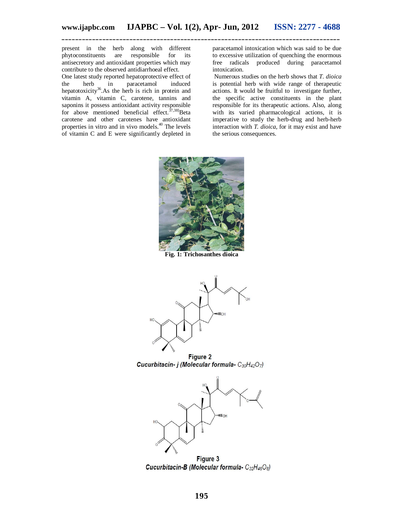present in the herb along with different phytoconstituents are responsible for its antisecretory and antioxidant properties which may contribute to the observed antidiarrhoeal effect.

One latest study reported hepatoprotective effect of<br>the herb in paracetamol induced the herb in paracetamol hepatotoxicity<sup>36</sup>.As the herb is rich in protein and vitamin A, vitamin C, carotene, tannins and saponins it possess antioxidant activity responsible for above mentioned beneficial effect. $37,38$ ]Beta carotene and other carotenes have antioxidant properties in vitro and in vivo models.<sup>40</sup> The levels of vitamin C and E were significantly depleted in

paracetamol intoxication which was said to be due to excessive utilization of quenching the enormous free radicals produced during paracetamol intoxication.

Numerous studies on the herb shows that *T. dioica* is potential herb with wide range of therapeutic actions. It would be fruitful to investigate further, the specific active constituents in the plant responsible for its therapeutic actions. Also, along with its varied pharmacological actions, it is imperative to study the herb-drug and herb-herb interaction with *T. dioica*, for it may exist and have the serious consequences.



**Fig. 1: Trichosanthes dioica** 



**Figure 2** Cucurbitacin- j (Molecular formula- $C_{30}H_{42}O_7$ )



Figure 3 Cucurbitacin-B (Molecular formula- C32H46O8)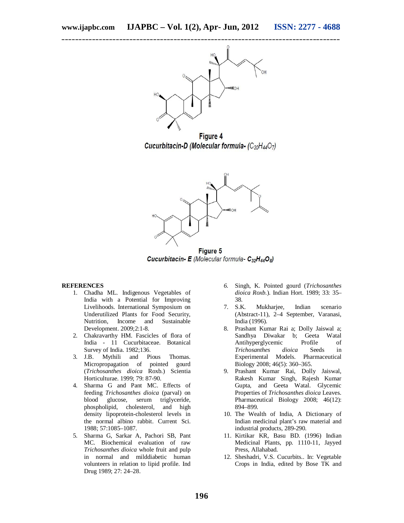

**Figure 4** Cucurbitacin-D (Molecular formula- (C30H44O7)



Figure 5 **Cucurbitacin- E** (Molecular formula-  $C_{32}H_{44}O_8$ )

#### **REFERENCES**

- 1. Chadha ML. Indigenous Vegetables of India with a Potential for Improving Livelihoods. International Symposium on Underutilized Plants for Food Security, Nutrition, Income and Sustainable Development. 2009;2:1-8.
- 2. Chakravarthy HM. Fascicles of flora of India - 11 Cucurbitaceae. Botanical Survey of India. 1982;136.
- 3. J.B. Mythili and Pious Thomas. Micropropagation of pointed gourd (*Trichosanthes dioica* Roxb.) Scientia Horticulturae. 1999; 79: 87-90.
- 4. Sharma G and Pant MC. Effects of feeding *Trichosanthes dioica* (parval) on blood glucose, serum triglyceride, phospholipid, cholesterol, and high density lipoprotein-cholesterol levels in the normal albino rabbit. Current Sci. 1988; 57:1085–1087.
- 5. Sharma G, Sarkar A, Pachori SB, Pant MC. Biochemical evaluation of raw *Trichosanthes dioica* whole fruit and pulp in normal and milddiabetic human volunteers in relation to lipid profile. Ind Drug 1989; 27: 24–28.
- *6.* Singh, K. Pointed gourd (*Trichosanthes dioica Roxb.*). Indian Hort. 1989; 33: 35– 38*.*
- 7. S.K. Mukharjee, Indian scenario (Abstract-11), 2–4 September, Varanasi, India (1996).
- 8. Prashant Kumar Rai a; Dolly Jaiswal a; Sandhya Diwakar b; Geeta Watal Antihyperglycemic Profile of *Trichosanthes dioica* Seeds in Experimental Models. Pharmaceutical Biology 2008; 46(5): 360–365.
- 9. Prashant Kumar Rai, Dolly Jaiswal, Rakesh Kumar Singh, Rajesh Kumar Gupta, and Geeta Watal. Glycemic Properties of *Trichosanthes dioica* Leaves. Pharmaceutical Biology 2008; 46(12): 894–899.
- 10. The Wealth of India, A Dictionary of Indian medicinal plant's raw material and industrial products, 289-290.
- 11. Kirtikar KR, Basu BD. (1996) Indian Medicinal Plants, pp. 1110-11, Jayyed Press, Allahabad.
- 12. Sheshadri, V.S. Cucurbits.. In: Vegetable Crops in India, edited by Bose TK and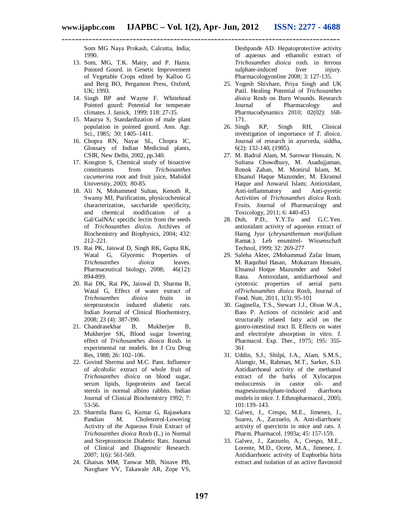Som MG Naya Prokash, Calcutta, India; 1990.

- 13. Som, MG, T.K. Maity, and P. Hazra. Pointed Gourd. in Genetic Improvement of Vegetable Crops edited by Kalloo G and Berg BO, Pergamon Press, Oxford, UK; 1993.
- 14. Singh BP and Wayne F. Whitehead Pointed gourd: Potential for temperate climates. J. Janick, 1999; 118: 27-35.
- 15. Maurya S, Standardization of male plant population in pointed gourd. Ann. Agr. Sci., 1985; 30: 1405–1411.
- 16. Chopra RN, Nayar SL, Chopra IC, Glossary of Indian Medicinal plants, CSIR, New Delhi, 2002, pp.340.
- 17. Kongton S, Chemical study of bioactive constituents from *Trichosanthes cucumerina* root and fruit juice, Mahidol University, 2003; 80-85.
- 18. Ali N, Mohammed Sultan, Kenoth R, Swamy MJ, Purification, physicochemical characterization, saccharide specificity, and chemical modification of a Gal/GalNAc specific lectin from the seeds of *Trichosanthes dioica.* Archives of Biochemistry and Biophysics, 2004; 432: 212–221.
- 19. Rai PK, Jaiswal D, Singh RK, Gupta RK, Watal G, Glycemic Properties of *Trichosanthes dioica* leaves. Pharmaceutical biology, 2008; 46(12): 894-899.
- 20. Rai DK, Rai PK, Jaiswal D, Sharma B, Watal G, Effect of water extract of *Trichosanthes dioica* fruits in streptozotocin induced diabetic rats. Indian Journal of Clinical Biochemistry, 2008; 23 (4): 387-390.
- 21. Chandrasekhar B, Mukherjee B, Mukherjee SK, Blood sugar lowering effect of *Trichosanthes dioica* Roxb. in experimental rat models. Int J Cru Drug Res, 1988; 26: 102–106.
- 22. Govind Sherma and M.C. Pant. Influence of alcoholic extract of whole fruit of *Trichosanthes dioica* on blood sugar, serum lipids, lipoproteins and faecal sterols in normal albino rabbits. Indian Journal of Clinical Biochemistry 1992; 7: 53-56.
- 23. Sharmila Banu G, Kumar G, Rajasekara Pandian M. Cholesterol-Lowering Activity of the Aqueous Fruit Extract of *Trichosanthes dioica* Roxb (L.) in Normal and Streptozotocin Diabetic Rats. Journal of Clinical and Diagnostic Research. 2007; 1(6): 561-569.
- 24. Ghaisas MM, Tanwar MB, Ninave PB, Navghare VV, Takawale AR, Zope VS,

Deshpande AD. Hepatoprotective activity of aqueous and ethanolic extract of *Trichosanthes dioica* roxb. in ferrous sulphate-induced liver injury. Pharmacologyonline 2008; 3: 127-135.

- 25. Yogesh Shivhare, Priya Singh and UK Patil. Healing Potential of *Trichosanthes dioica* Roxb on Burn Wounds. Research<br>Journal of Pharmacology and Journal of Pharmacology and Pharmacodynamics 2010; 02(02): 168- 171.
- 26. Singh KP, Singh RH, Clinical investigation of importance of *T. dioica*. Journal of research in ayurveda, siddha, 6(2): 132-140, (1985).
- 27. M. Badrul Alam, M. Sarowar Hossain, N. Sultana Chowdhury, M. Asadujjaman, Ronok Zahan, M. Monirul Islam, M. Ehsanul Haque Mazumder, M. Ekramul Haque and Anwarul Islam; Antioxidant, Anti-inflammatory and Anti-pyretic Activities of *Trichosanthes dioica* Roxb. Fruits. Journal of Pharmacology and Toxicology, 2011; 6: 440-453
- 28. Duh, P.D., Y.Y.Tu and G.C.Yen. antioxidant activity of aqueous extract of Harng Jyur (*chrysanthemum morifolium* Ramat.). Leb ensmittel- Wissenschaft Technol, 1999; 32: 269-277
- 29. Saleha Akter, 2Mohammad Zafar Imam, M. Raquibul Hasan, Mokarram Hossain, Ehsanul Hoque Mazumder and Sohel Rana. Antioxidant, antidiarrhoeal and cytotoxic properties of aerial parts of*Trichosanthes dioica* Roxb, Journal of Food. Nutr, 2011, 1(3): 95-101
- 30. Gaginella, T.S., Stewart J.J., Olson W.A., Bass P. Actions of ricinoleic acid and structurally related fatty acid on the gastro-intestinal tract II. Effects on water and electrolyte absorption in vitro. J. Pharmacol. Exp. Ther., 1975; 195: 355- 361
- 31. Uddin, S.J., Shilpi, J.A., Alam, S.M.S., Alamgir, M., Rahman, M.T., Sarker, S.D. Antidiarrhoeal activity of the methanol extract of the barks of Xylocarpus moluccensis in castor oil- and magnesiumsulphate-induced diarrhoea models in mice. J. Ethnopharmacol., 2005; 101:139–143.
- 32. Galvez, J., Crespo, M.E., Jimenez, J., Suarez, A., Zarzuelo, A. Anti-diarrhoeic activity of quercitrin in mice and rats. J. Pharm. Pharmacol. 1993a; 45: 157-159.
- 33. Galvez, J., Zarzuelo, A., Crespo, M.E., Lorente, M.D., Ocete, M.A., Jimenez, J. Antidiarrhoeic activity of Euphorbia hirta extract and isolation of an active flavonoid